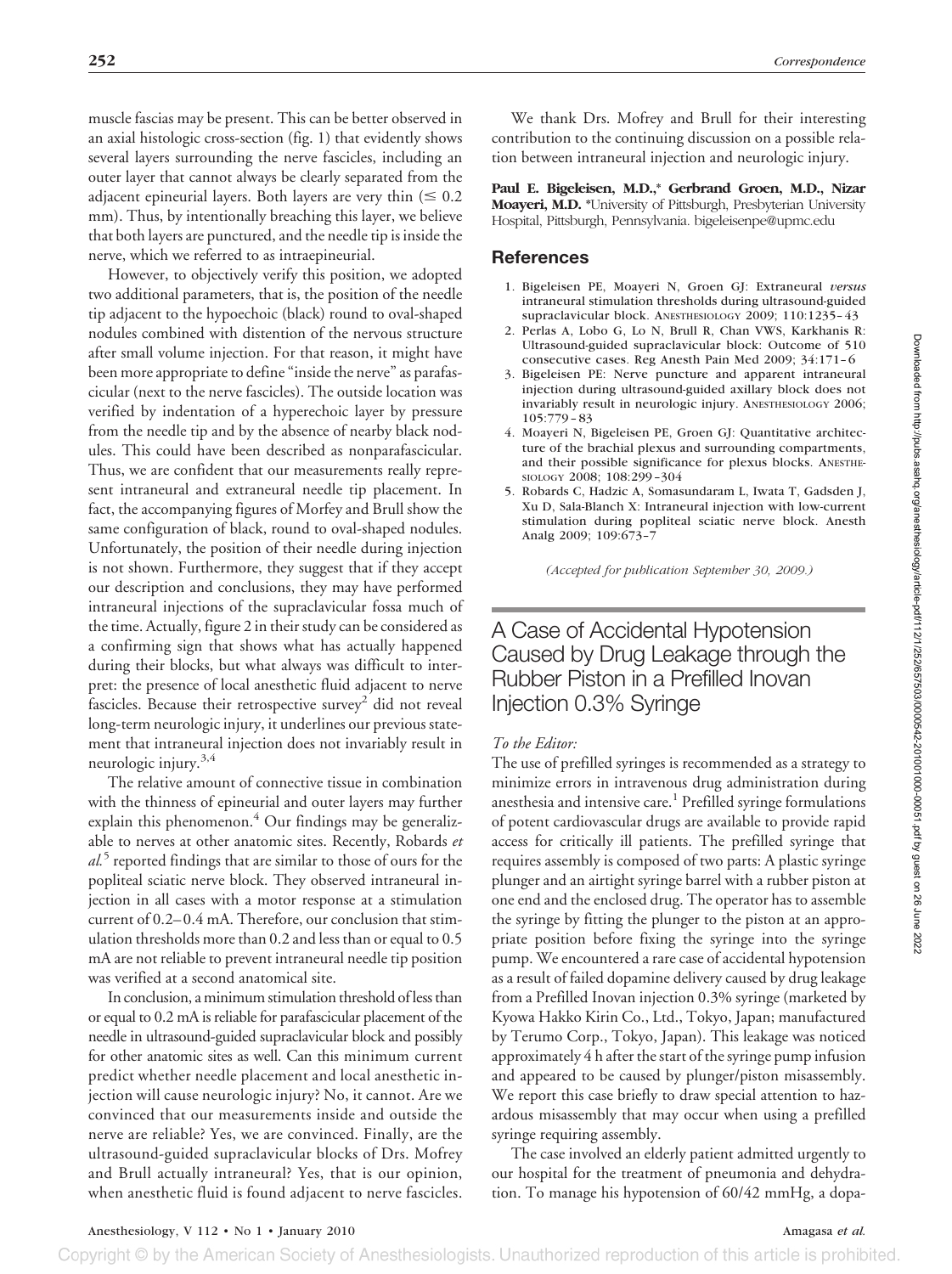muscle fascias may be present. This can be better observed in an axial histologic cross-section (fig. 1) that evidently shows several layers surrounding the nerve fascicles, including an outer layer that cannot always be clearly separated from the adjacent epineurial layers. Both layers are very thin  $(\leq 0.2)$ mm). Thus, by intentionally breaching this layer, we believe that both layers are punctured, and the needle tip is inside the nerve, which we referred to as intraepineurial.

However, to objectively verify this position, we adopted two additional parameters, that is, the position of the needle tip adjacent to the hypoechoic (black) round to oval-shaped nodules combined with distention of the nervous structure after small volume injection. For that reason, it might have been more appropriate to define "inside the nerve" as parafascicular (next to the nerve fascicles). The outside location was verified by indentation of a hyperechoic layer by pressure from the needle tip and by the absence of nearby black nodules. This could have been described as nonparafascicular. Thus, we are confident that our measurements really represent intraneural and extraneural needle tip placement. In fact, the accompanying figures of Morfey and Brull show the same configuration of black, round to oval-shaped nodules. Unfortunately, the position of their needle during injection is not shown. Furthermore, they suggest that if they accept our description and conclusions, they may have performed intraneural injections of the supraclavicular fossa much of the time. Actually, figure 2 in their study can be considered as a confirming sign that shows what has actually happened during their blocks, but what always was difficult to interpret: the presence of local anesthetic fluid adjacent to nerve fascicles. Because their retrospective survey<sup>2</sup> did not reveal long-term neurologic injury, it underlines our previous statement that intraneural injection does not invariably result in neurologic injury.<sup>3,4</sup>

The relative amount of connective tissue in combination with the thinness of epineurial and outer layers may further explain this phenomenon. $4$  Our findings may be generalizable to nerves at other anatomic sites. Recently, Robards *et al.*<sup>5</sup> reported findings that are similar to those of ours for the popliteal sciatic nerve block. They observed intraneural injection in all cases with a motor response at a stimulation current of 0.2– 0.4 mA. Therefore, our conclusion that stimulation thresholds more than 0.2 and less than or equal to 0.5 mA are not reliable to prevent intraneural needle tip position was verified at a second anatomical site.

In conclusion, a minimum stimulation threshold of less than or equal to 0.2 mA is reliable for parafascicular placement of the needle in ultrasound-guided supraclavicular block and possibly for other anatomic sites as well. Can this minimum current predict whether needle placement and local anesthetic injection will cause neurologic injury? No, it cannot. Are we convinced that our measurements inside and outside the nerve are reliable? Yes, we are convinced. Finally, are the ultrasound-guided supraclavicular blocks of Drs. Mofrey and Brull actually intraneural? Yes, that is our opinion, when anesthetic fluid is found adjacent to nerve fascicles.

We thank Drs. Mofrey and Brull for their interesting contribution to the continuing discussion on a possible relation between intraneural injection and neurologic injury.

**Paul E. Bigeleisen, M.D.,\* Gerbrand Groen, M.D., Nizar Moayeri, M.D. \***University of Pittsburgh, Presbyterian University Hospital, Pittsburgh, Pennsylvania. bigeleisenpe@upmc.edu

#### **References**

- 1. Bigeleisen PE, Moayeri N, Groen GJ: Extraneural *versus* intraneural stimulation thresholds during ultrasound-guided supraclavicular block. ANESTHESIOLOGY 2009; 110:1235-43
- 2. Perlas A, Lobo G, Lo N, Brull R, Chan VWS, Karkhanis R: Ultrasound-guided supraclavicular block: Outcome of 510 consecutive cases. Reg Anesth Pain Med 2009; 34:171-6
- 3. Bigeleisen PE: Nerve puncture and apparent intraneural injection during ultrasound-guided axillary block does not invariably result in neurologic injury. ANESTHESIOLOGY 2006; 105:779 – 83
- 4. Moayeri N, Bigeleisen PE, Groen GJ: Quantitative architecture of the brachial plexus and surrounding compartments, and their possible significance for plexus blocks. ANESTHE-SIOLOGY 2008; 108:299 –304
- 5. Robards C, Hadzic A, Somasundaram L, Iwata T, Gadsden J, Xu D, Sala-Blanch X: Intraneural injection with low-current stimulation during popliteal sciatic nerve block. Anesth Analg 2009; 109:673–7

*(Accepted for publication September 30, 2009.)*

# A Case of Accidental Hypotension Caused by Drug Leakage through the Rubber Piston in a Prefilled Inovan Injection 0.3% Syringe

#### *To the Editor:*

The use of prefilled syringes is recommended as a strategy to minimize errors in intravenous drug administration during anesthesia and intensive care.<sup>1</sup> Prefilled syringe formulations of potent cardiovascular drugs are available to provide rapid access for critically ill patients. The prefilled syringe that requires assembly is composed of two parts: A plastic syringe plunger and an airtight syringe barrel with a rubber piston at one end and the enclosed drug. The operator has to assemble the syringe by fitting the plunger to the piston at an appropriate position before fixing the syringe into the syringe pump. We encountered a rare case of accidental hypotension as a result of failed dopamine delivery caused by drug leakage from a Prefilled Inovan injection 0.3% syringe (marketed by Kyowa Hakko Kirin Co., Ltd., Tokyo, Japan; manufactured by Terumo Corp., Tokyo, Japan). This leakage was noticed approximately 4 h after the start of the syringe pump infusion and appeared to be caused by plunger/piston misassembly. We report this case briefly to draw special attention to hazardous misassembly that may occur when using a prefilled syringe requiring assembly.

The case involved an elderly patient admitted urgently to our hospital for the treatment of pneumonia and dehydration. To manage his hypotension of 60/42 mmHg, a dopa-

Copyright © by the American Society of Anesthesiologists. Unauthorized reproduction of this article is prohibited.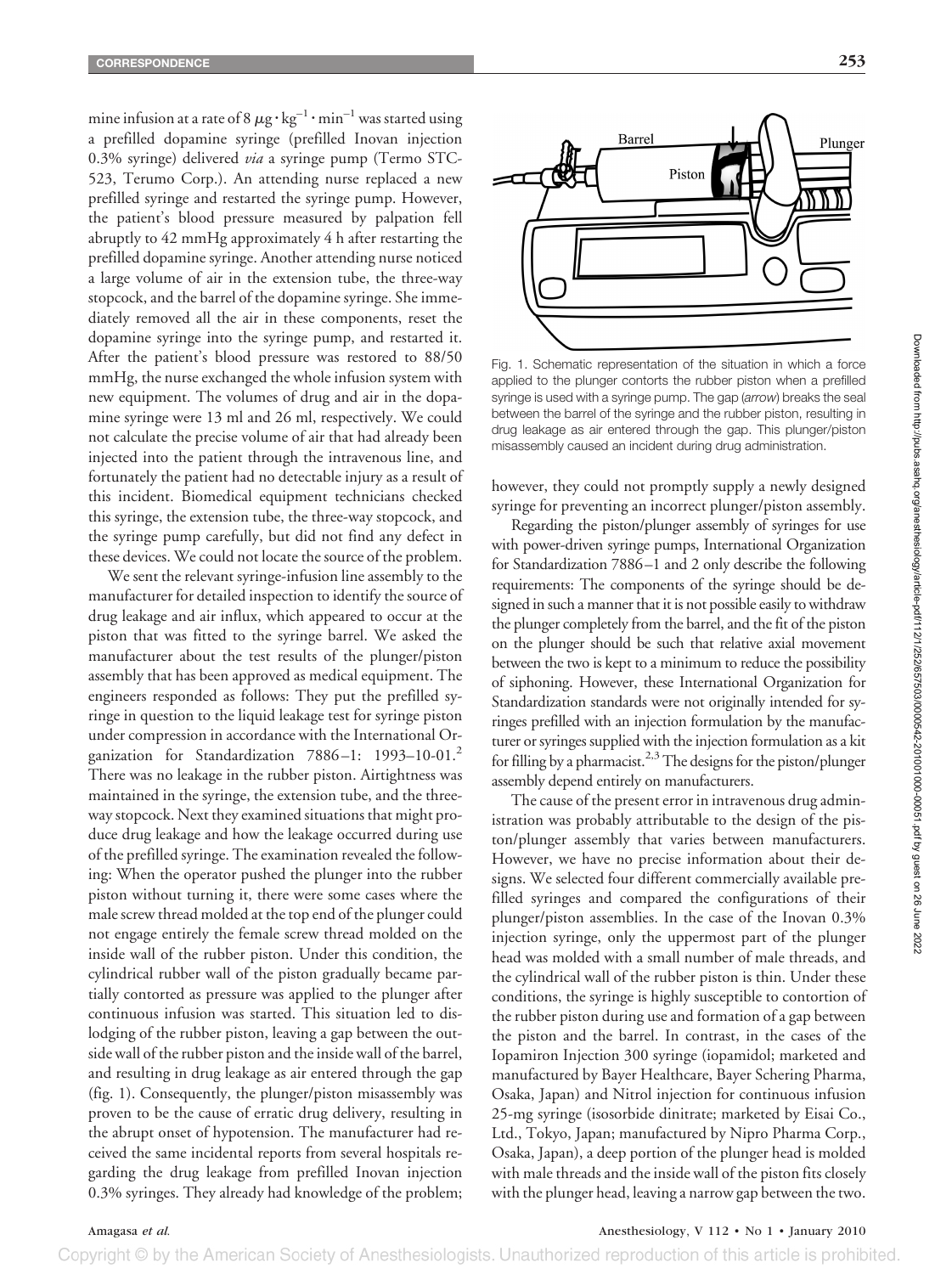mine infusion at a rate of 8  $\mu$ g  $\cdot$  kg $^{-1}\cdot$ min $^{-1}$  was started using a prefilled dopamine syringe (prefilled Inovan injection 0.3% syringe) delivered *via* a syringe pump (Termo STC-523, Terumo Corp.). An attending nurse replaced a new prefilled syringe and restarted the syringe pump. However, the patient's blood pressure measured by palpation fell abruptly to 42 mmHg approximately 4 h after restarting the prefilled dopamine syringe. Another attending nurse noticed a large volume of air in the extension tube, the three-way stopcock, and the barrel of the dopamine syringe. She immediately removed all the air in these components, reset the dopamine syringe into the syringe pump, and restarted it. After the patient's blood pressure was restored to 88/50 mmHg, the nurse exchanged the whole infusion system with new equipment. The volumes of drug and air in the dopamine syringe were 13 ml and 26 ml, respectively. We could not calculate the precise volume of air that had already been injected into the patient through the intravenous line, and fortunately the patient had no detectable injury as a result of this incident. Biomedical equipment technicians checked this syringe, the extension tube, the three-way stopcock, and the syringe pump carefully, but did not find any defect in these devices. We could not locate the source of the problem.

We sent the relevant syringe-infusion line assembly to the manufacturer for detailed inspection to identify the source of drug leakage and air influx, which appeared to occur at the piston that was fitted to the syringe barrel. We asked the manufacturer about the test results of the plunger/piston assembly that has been approved as medical equipment. The engineers responded as follows: They put the prefilled syringe in question to the liquid leakage test for syringe piston under compression in accordance with the International Organization for Standardization 7886-1: 1993-10-01.<sup>2</sup> There was no leakage in the rubber piston. Airtightness was maintained in the syringe, the extension tube, and the threeway stopcock. Next they examined situations that might produce drug leakage and how the leakage occurred during use of the prefilled syringe. The examination revealed the following: When the operator pushed the plunger into the rubber piston without turning it, there were some cases where the male screw thread molded at the top end of the plunger could not engage entirely the female screw thread molded on the inside wall of the rubber piston. Under this condition, the cylindrical rubber wall of the piston gradually became partially contorted as pressure was applied to the plunger after continuous infusion was started. This situation led to dislodging of the rubber piston, leaving a gap between the outside wall of the rubber piston and the inside wall of the barrel, and resulting in drug leakage as air entered through the gap (fig. 1). Consequently, the plunger/piston misassembly was proven to be the cause of erratic drug delivery, resulting in the abrupt onset of hypotension. The manufacturer had received the same incidental reports from several hospitals regarding the drug leakage from prefilled Inovan injection 0.3% syringes. They already had knowledge of the problem;



Fig. 1. Schematic representation of the situation in which a force applied to the plunger contorts the rubber piston when a prefilled syringe is used with a syringe pump. The gap (*arrow*) breaks the seal between the barrel of the syringe and the rubber piston, resulting in drug leakage as air entered through the gap. This plunger/piston misassembly caused an incident during drug administration.

however, they could not promptly supply a newly designed syringe for preventing an incorrect plunger/piston assembly.

Regarding the piston/plunger assembly of syringes for use with power-driven syringe pumps, International Organization for Standardization 7886 –1 and 2 only describe the following requirements: The components of the syringe should be designed in such a manner that it is not possible easily to withdraw the plunger completely from the barrel, and the fit of the piston on the plunger should be such that relative axial movement between the two is kept to a minimum to reduce the possibility of siphoning. However, these International Organization for Standardization standards were not originally intended for syringes prefilled with an injection formulation by the manufacturer or syringes supplied with the injection formulation as a kit for filling by a pharmacist.<sup>2,3</sup> The designs for the piston/plunger assembly depend entirely on manufacturers.

The cause of the present error in intravenous drug administration was probably attributable to the design of the piston/plunger assembly that varies between manufacturers. However, we have no precise information about their designs. We selected four different commercially available prefilled syringes and compared the configurations of their plunger/piston assemblies. In the case of the Inovan 0.3% injection syringe, only the uppermost part of the plunger head was molded with a small number of male threads, and the cylindrical wall of the rubber piston is thin. Under these conditions, the syringe is highly susceptible to contortion of the rubber piston during use and formation of a gap between the piston and the barrel. In contrast, in the cases of the Iopamiron Injection 300 syringe (iopamidol; marketed and manufactured by Bayer Healthcare, Bayer Schering Pharma, Osaka, Japan) and Nitrol injection for continuous infusion 25-mg syringe (isosorbide dinitrate; marketed by Eisai Co., Ltd., Tokyo, Japan; manufactured by Nipro Pharma Corp., Osaka, Japan), a deep portion of the plunger head is molded with male threads and the inside wall of the piston fits closely with the plunger head, leaving a narrow gap between the two.

Amagasa *et al.* Anesthesiology, V 112 • No 1 • January 2010

Copyright © by the American Society of Anesthesiologists. Unauthorized reproduction of this article is prohibited.